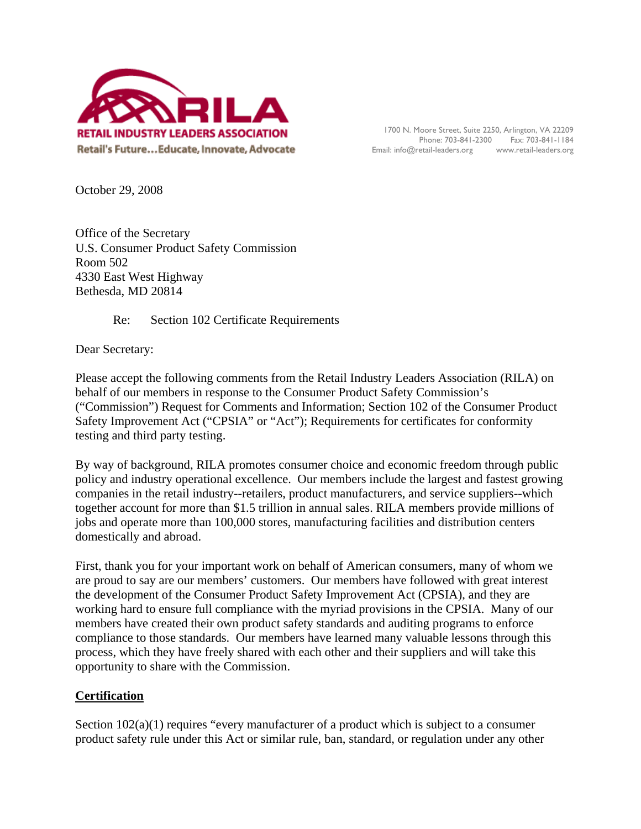

1700 N. Moore Street, Suite 2250, Arlington, VA 22209 Phone: 703-841-2300 Fax: 703-841-1184 Email: info@retail-leaders.org www.retail-leaders.org

October 29, 2008

Office of the Secretary U.S. Consumer Product Safety Commission Room 502 4330 East West Highway Bethesda, MD 20814

Re: Section 102 Certificate Requirements

Dear Secretary:

Please accept the following comments from the Retail Industry Leaders Association (RILA) on behalf of our members in response to the Consumer Product Safety Commission's ("Commission") Request for Comments and Information; Section 102 of the Consumer Product Safety Improvement Act ("CPSIA" or "Act"); Requirements for certificates for conformity testing and third party testing.

By way of background, RILA promotes consumer choice and economic freedom through public policy and industry operational excellence. Our members include the largest and fastest growing companies in the retail industry--retailers, product manufacturers, and service suppliers--which together account for more than \$1.5 trillion in annual sales. RILA members provide millions of jobs and operate more than 100,000 stores, manufacturing facilities and distribution centers domestically and abroad.

First, thank you for your important work on behalf of American consumers, many of whom we are proud to say are our members' customers. Our members have followed with great interest the development of the Consumer Product Safety Improvement Act (CPSIA), and they are working hard to ensure full compliance with the myriad provisions in the CPSIA. Many of our members have created their own product safety standards and auditing programs to enforce compliance to those standards. Our members have learned many valuable lessons through this process, which they have freely shared with each other and their suppliers and will take this opportunity to share with the Commission.

# **Certification**

Section  $102(a)(1)$  requires "every manufacturer of a product which is subject to a consumer product safety rule under this Act or similar rule, ban, standard, or regulation under any other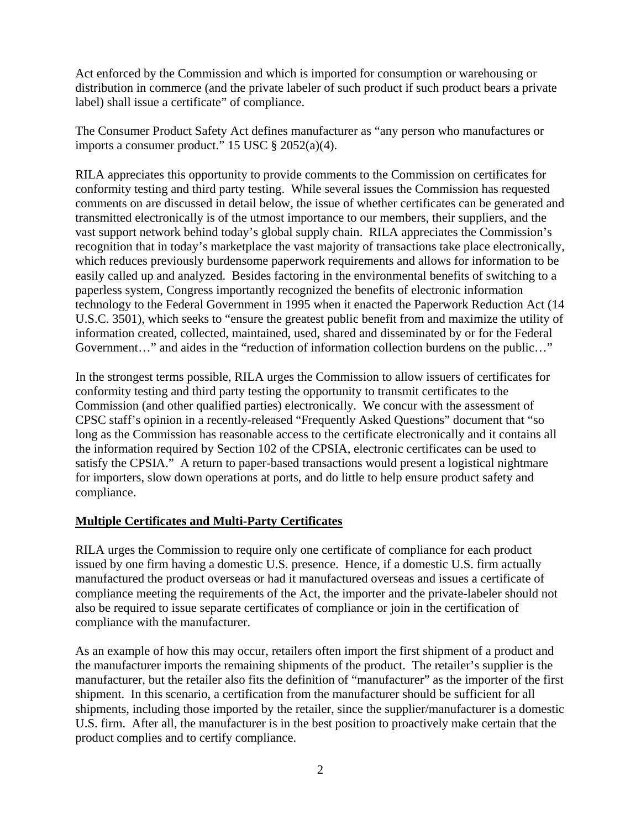Act enforced by the Commission and which is imported for consumption or warehousing or distribution in commerce (and the private labeler of such product if such product bears a private label) shall issue a certificate" of compliance.

The Consumer Product Safety Act defines manufacturer as "any person who manufactures or imports a consumer product." 15 USC  $\S 2052(a)(4)$ .

RILA appreciates this opportunity to provide comments to the Commission on certificates for conformity testing and third party testing. While several issues the Commission has requested comments on are discussed in detail below, the issue of whether certificates can be generated and transmitted electronically is of the utmost importance to our members, their suppliers, and the vast support network behind today's global supply chain. RILA appreciates the Commission's recognition that in today's marketplace the vast majority of transactions take place electronically, which reduces previously burdensome paperwork requirements and allows for information to be easily called up and analyzed. Besides factoring in the environmental benefits of switching to a paperless system, Congress importantly recognized the benefits of electronic information technology to the Federal Government in 1995 when it enacted the Paperwork Reduction Act (14 U.S.C. 3501), which seeks to "ensure the greatest public benefit from and maximize the utility of information created, collected, maintained, used, shared and disseminated by or for the Federal Government…" and aides in the "reduction of information collection burdens on the public…"

In the strongest terms possible, RILA urges the Commission to allow issuers of certificates for conformity testing and third party testing the opportunity to transmit certificates to the Commission (and other qualified parties) electronically. We concur with the assessment of CPSC staff's opinion in a recently-released "Frequently Asked Questions" document that "so long as the Commission has reasonable access to the certificate electronically and it contains all the information required by Section 102 of the CPSIA, electronic certificates can be used to satisfy the CPSIA." A return to paper-based transactions would present a logistical nightmare for importers, slow down operations at ports, and do little to help ensure product safety and compliance.

# **Multiple Certificates and Multi-Party Certificates**

RILA urges the Commission to require only one certificate of compliance for each product issued by one firm having a domestic U.S. presence. Hence, if a domestic U.S. firm actually manufactured the product overseas or had it manufactured overseas and issues a certificate of compliance meeting the requirements of the Act, the importer and the private-labeler should not also be required to issue separate certificates of compliance or join in the certification of compliance with the manufacturer.

As an example of how this may occur, retailers often import the first shipment of a product and the manufacturer imports the remaining shipments of the product. The retailer's supplier is the manufacturer, but the retailer also fits the definition of "manufacturer" as the importer of the first shipment. In this scenario, a certification from the manufacturer should be sufficient for all shipments, including those imported by the retailer, since the supplier/manufacturer is a domestic U.S. firm. After all, the manufacturer is in the best position to proactively make certain that the product complies and to certify compliance.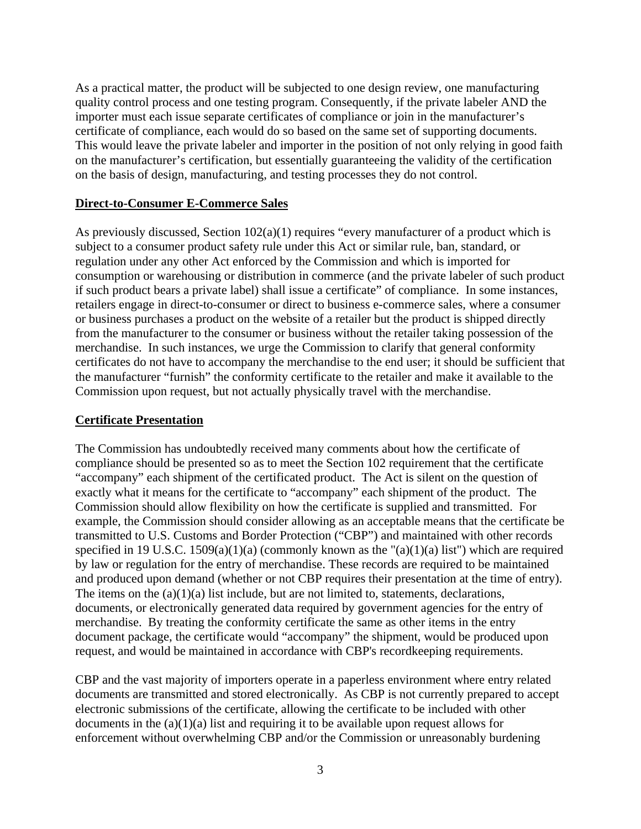As a practical matter, the product will be subjected to one design review, one manufacturing quality control process and one testing program. Consequently, if the private labeler AND the importer must each issue separate certificates of compliance or join in the manufacturer's certificate of compliance, each would do so based on the same set of supporting documents. This would leave the private labeler and importer in the position of not only relying in good faith on the manufacturer's certification, but essentially guaranteeing the validity of the certification on the basis of design, manufacturing, and testing processes they do not control.

#### **Direct-to-Consumer E-Commerce Sales**

As previously discussed, Section 102(a)(1) requires "every manufacturer of a product which is subject to a consumer product safety rule under this Act or similar rule, ban, standard, or regulation under any other Act enforced by the Commission and which is imported for consumption or warehousing or distribution in commerce (and the private labeler of such product if such product bears a private label) shall issue a certificate" of compliance. In some instances, retailers engage in direct-to-consumer or direct to business e-commerce sales, where a consumer or business purchases a product on the website of a retailer but the product is shipped directly from the manufacturer to the consumer or business without the retailer taking possession of the merchandise. In such instances, we urge the Commission to clarify that general conformity certificates do not have to accompany the merchandise to the end user; it should be sufficient that the manufacturer "furnish" the conformity certificate to the retailer and make it available to the Commission upon request, but not actually physically travel with the merchandise.

#### **Certificate Presentation**

The Commission has undoubtedly received many comments about how the certificate of compliance should be presented so as to meet the Section 102 requirement that the certificate "accompany" each shipment of the certificated product. The Act is silent on the question of exactly what it means for the certificate to "accompany" each shipment of the product. The Commission should allow flexibility on how the certificate is supplied and transmitted. For example, the Commission should consider allowing as an acceptable means that the certificate be transmitted to U.S. Customs and Border Protection ("CBP") and maintained with other records specified in 19 U.S.C. 1509(a)(1)(a) (commonly known as the " $(a)(1)(a)$  list") which are required by law or regulation for the entry of merchandise. These records are required to be maintained and produced upon demand (whether or not CBP requires their presentation at the time of entry). The items on the  $(a)(1)(a)$  list include, but are not limited to, statements, declarations, documents, or electronically generated data required by government agencies for the entry of merchandise. By treating the conformity certificate the same as other items in the entry document package, the certificate would "accompany" the shipment, would be produced upon request, and would be maintained in accordance with CBP's recordkeeping requirements.

CBP and the vast majority of importers operate in a paperless environment where entry related documents are transmitted and stored electronically. As CBP is not currently prepared to accept electronic submissions of the certificate, allowing the certificate to be included with other documents in the  $(a)(1)(a)$  list and requiring it to be available upon request allows for enforcement without overwhelming CBP and/or the Commission or unreasonably burdening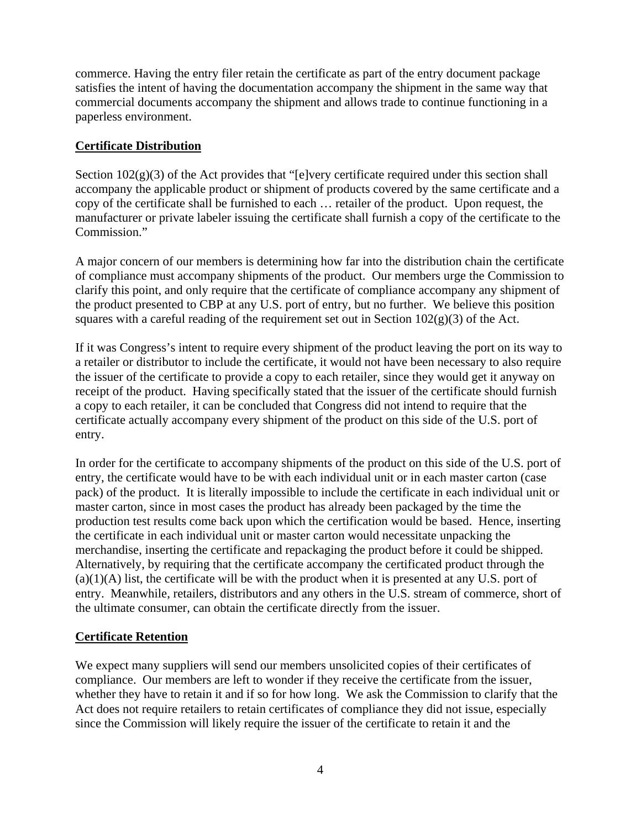commerce. Having the entry filer retain the certificate as part of the entry document package satisfies the intent of having the documentation accompany the shipment in the same way that commercial documents accompany the shipment and allows trade to continue functioning in a paperless environment.

# **Certificate Distribution**

Section  $102(g)(3)$  of the Act provides that "[e]very certificate required under this section shall accompany the applicable product or shipment of products covered by the same certificate and a copy of the certificate shall be furnished to each … retailer of the product. Upon request, the manufacturer or private labeler issuing the certificate shall furnish a copy of the certificate to the Commission."

A major concern of our members is determining how far into the distribution chain the certificate of compliance must accompany shipments of the product. Our members urge the Commission to clarify this point, and only require that the certificate of compliance accompany any shipment of the product presented to CBP at any U.S. port of entry, but no further. We believe this position squares with a careful reading of the requirement set out in Section  $102(g)(3)$  of the Act.

If it was Congress's intent to require every shipment of the product leaving the port on its way to a retailer or distributor to include the certificate, it would not have been necessary to also require the issuer of the certificate to provide a copy to each retailer, since they would get it anyway on receipt of the product. Having specifically stated that the issuer of the certificate should furnish a copy to each retailer, it can be concluded that Congress did not intend to require that the certificate actually accompany every shipment of the product on this side of the U.S. port of entry.

In order for the certificate to accompany shipments of the product on this side of the U.S. port of entry, the certificate would have to be with each individual unit or in each master carton (case pack) of the product. It is literally impossible to include the certificate in each individual unit or master carton, since in most cases the product has already been packaged by the time the production test results come back upon which the certification would be based. Hence, inserting the certificate in each individual unit or master carton would necessitate unpacking the merchandise, inserting the certificate and repackaging the product before it could be shipped. Alternatively, by requiring that the certificate accompany the certificated product through the  $(a)(1)(A)$  list, the certificate will be with the product when it is presented at any U.S. port of entry. Meanwhile, retailers, distributors and any others in the U.S. stream of commerce, short of the ultimate consumer, can obtain the certificate directly from the issuer.

# **Certificate Retention**

We expect many suppliers will send our members unsolicited copies of their certificates of compliance. Our members are left to wonder if they receive the certificate from the issuer, whether they have to retain it and if so for how long. We ask the Commission to clarify that the Act does not require retailers to retain certificates of compliance they did not issue, especially since the Commission will likely require the issuer of the certificate to retain it and the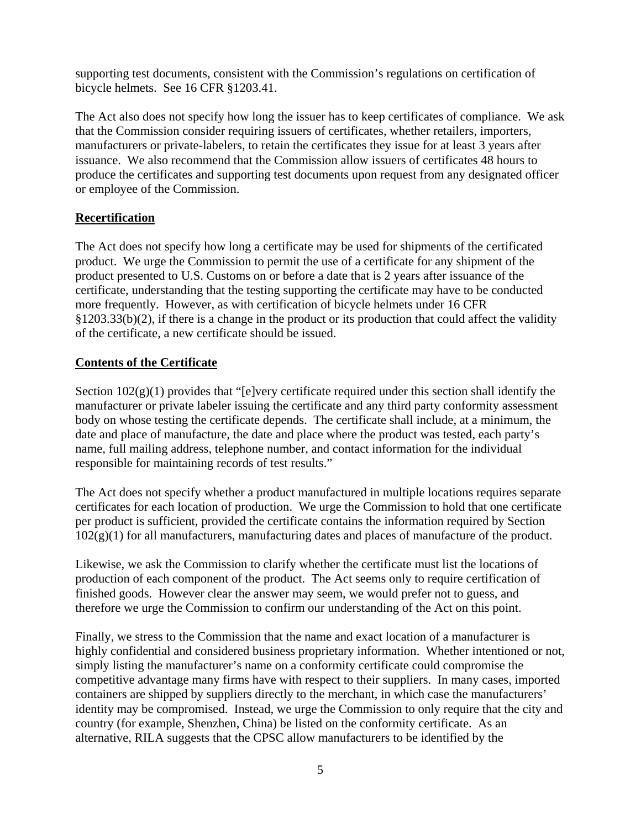supporting test documents, consistent with the Commission's regulations on certification of bicycle helmets. See 16 CFR §1203.41.

The Act also does not specify how long the issuer has to keep certificates of compliance. We ask that the Commission consider requiring issuers of certificates, whether retailers, importers, manufacturers or private-labelers, to retain the certificates they issue for at least 3 years after issuance. We also recommend that the Commission allow issuers of certificates 48 hours to produce the certificates and supporting test documents upon request from any designated officer or employee of the Commission.

# **Recertification**

The Act does not specify how long a certificate may be used for shipments of the certificated product. We urge the Commission to permit the use of a certificate for any shipment of the product presented to U.S. Customs on or before a date that is 2 years after issuance of the certificate, understanding that the testing supporting the certificate may have to be conducted more frequently. However, as with certification of bicycle helmets under 16 CFR §1203.33(b)(2), if there is a change in the product or its production that could affect the validity of the certificate, a new certificate should be issued.

# **Contents of the Certificate**

Section  $102(g)(1)$  provides that "[e]very certificate required under this section shall identify the manufacturer or private labeler issuing the certificate and any third party conformity assessment body on whose testing the certificate depends. The certificate shall include, at a minimum, the date and place of manufacture, the date and place where the product was tested, each party's name, full mailing address, telephone number, and contact information for the individual responsible for maintaining records of test results."

The Act does not specify whether a product manufactured in multiple locations requires separate certificates for each location of production. We urge the Commission to hold that one certificate per product is sufficient, provided the certificate contains the information required by Section  $102(g)(1)$  for all manufacturers, manufacturing dates and places of manufacture of the product.

Likewise, we ask the Commission to clarify whether the certificate must list the locations of production of each component of the product. The Act seems only to require certification of finished goods. However clear the answer may seem, we would prefer not to guess, and therefore we urge the Commission to confirm our understanding of the Act on this point.

Finally, we stress to the Commission that the name and exact location of a manufacturer is highly confidential and considered business proprietary information. Whether intentioned or not, simply listing the manufacturer's name on a conformity certificate could compromise the competitive advantage many firms have with respect to their suppliers. In many cases, imported containers are shipped by suppliers directly to the merchant, in which case the manufacturers' identity may be compromised. Instead, we urge the Commission to only require that the city and country (for example, Shenzhen, China) be listed on the conformity certificate. As an alternative, RILA suggests that the CPSC allow manufacturers to be identified by the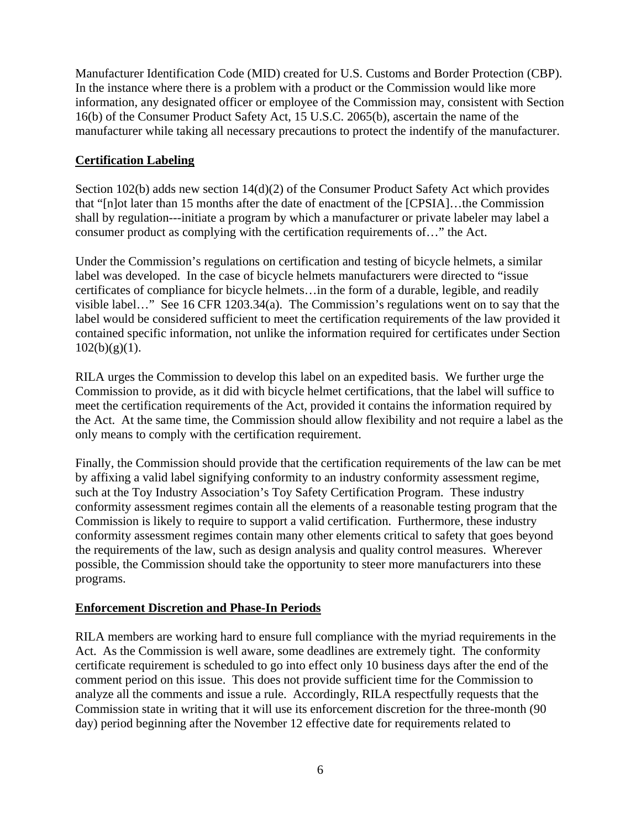Manufacturer Identification Code (MID) created for U.S. Customs and Border Protection (CBP). In the instance where there is a problem with a product or the Commission would like more information, any designated officer or employee of the Commission may, consistent with Section 16(b) of the Consumer Product Safety Act, 15 U.S.C. 2065(b), ascertain the name of the manufacturer while taking all necessary precautions to protect the indentify of the manufacturer.

# **Certification Labeling**

Section 102(b) adds new section 14(d)(2) of the Consumer Product Safety Act which provides that "[n]ot later than 15 months after the date of enactment of the [CPSIA]…the Commission shall by regulation---initiate a program by which a manufacturer or private labeler may label a consumer product as complying with the certification requirements of…" the Act.

Under the Commission's regulations on certification and testing of bicycle helmets, a similar label was developed. In the case of bicycle helmets manufacturers were directed to "issue certificates of compliance for bicycle helmets…in the form of a durable, legible, and readily visible label…" See 16 CFR 1203.34(a). The Commission's regulations went on to say that the label would be considered sufficient to meet the certification requirements of the law provided it contained specific information, not unlike the information required for certificates under Section  $102(b)(g)(1)$ .

RILA urges the Commission to develop this label on an expedited basis. We further urge the Commission to provide, as it did with bicycle helmet certifications, that the label will suffice to meet the certification requirements of the Act, provided it contains the information required by the Act. At the same time, the Commission should allow flexibility and not require a label as the only means to comply with the certification requirement.

Finally, the Commission should provide that the certification requirements of the law can be met by affixing a valid label signifying conformity to an industry conformity assessment regime, such at the Toy Industry Association's Toy Safety Certification Program. These industry conformity assessment regimes contain all the elements of a reasonable testing program that the Commission is likely to require to support a valid certification. Furthermore, these industry conformity assessment regimes contain many other elements critical to safety that goes beyond the requirements of the law, such as design analysis and quality control measures. Wherever possible, the Commission should take the opportunity to steer more manufacturers into these programs.

# **Enforcement Discretion and Phase-In Periods**

RILA members are working hard to ensure full compliance with the myriad requirements in the Act. As the Commission is well aware, some deadlines are extremely tight. The conformity certificate requirement is scheduled to go into effect only 10 business days after the end of the comment period on this issue. This does not provide sufficient time for the Commission to analyze all the comments and issue a rule. Accordingly, RILA respectfully requests that the Commission state in writing that it will use its enforcement discretion for the three-month (90 day) period beginning after the November 12 effective date for requirements related to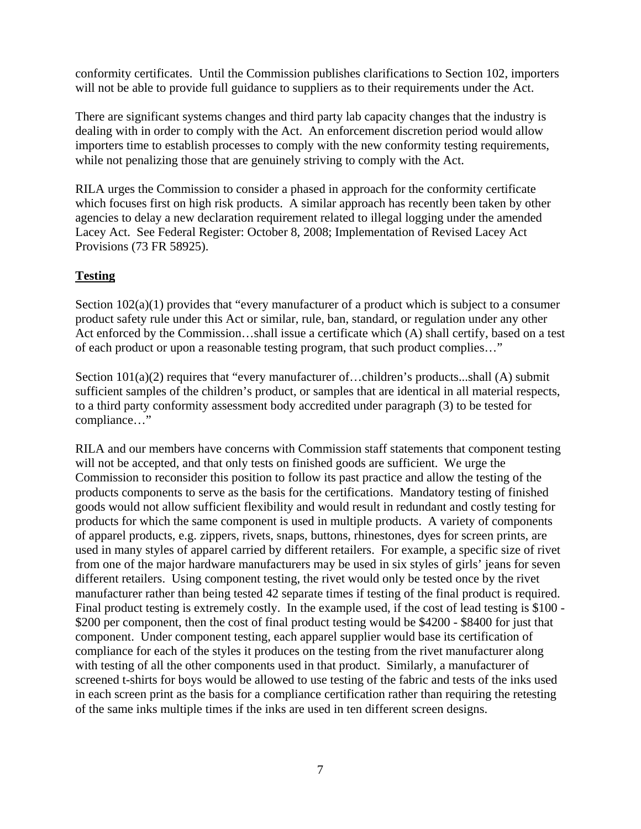conformity certificates. Until the Commission publishes clarifications to Section 102, importers will not be able to provide full guidance to suppliers as to their requirements under the Act.

There are significant systems changes and third party lab capacity changes that the industry is dealing with in order to comply with the Act. An enforcement discretion period would allow importers time to establish processes to comply with the new conformity testing requirements, while not penalizing those that are genuinely striving to comply with the Act.

RILA urges the Commission to consider a phased in approach for the conformity certificate which focuses first on high risk products. A similar approach has recently been taken by other agencies to delay a new declaration requirement related to illegal logging under the amended Lacey Act. See Federal Register: October 8, 2008; Implementation of Revised Lacey Act Provisions (73 FR 58925).

# **Testing**

Section  $102(a)(1)$  provides that "every manufacturer of a product which is subject to a consumer product safety rule under this Act or similar, rule, ban, standard, or regulation under any other Act enforced by the Commission...shall issue a certificate which (A) shall certify, based on a test of each product or upon a reasonable testing program, that such product complies…"

Section 101(a)(2) requires that "every manufacturer of...children's products...shall (A) submit sufficient samples of the children's product, or samples that are identical in all material respects, to a third party conformity assessment body accredited under paragraph (3) to be tested for compliance…"

RILA and our members have concerns with Commission staff statements that component testing will not be accepted, and that only tests on finished goods are sufficient. We urge the Commission to reconsider this position to follow its past practice and allow the testing of the products components to serve as the basis for the certifications. Mandatory testing of finished goods would not allow sufficient flexibility and would result in redundant and costly testing for products for which the same component is used in multiple products. A variety of components of apparel products, e.g. zippers, rivets, snaps, buttons, rhinestones, dyes for screen prints, are used in many styles of apparel carried by different retailers. For example, a specific size of rivet from one of the major hardware manufacturers may be used in six styles of girls' jeans for seven different retailers. Using component testing, the rivet would only be tested once by the rivet manufacturer rather than being tested 42 separate times if testing of the final product is required. Final product testing is extremely costly. In the example used, if the cost of lead testing is \$100 -\$200 per component, then the cost of final product testing would be \$4200 - \$8400 for just that component. Under component testing, each apparel supplier would base its certification of compliance for each of the styles it produces on the testing from the rivet manufacturer along with testing of all the other components used in that product. Similarly, a manufacturer of screened t-shirts for boys would be allowed to use testing of the fabric and tests of the inks used in each screen print as the basis for a compliance certification rather than requiring the retesting of the same inks multiple times if the inks are used in ten different screen designs.